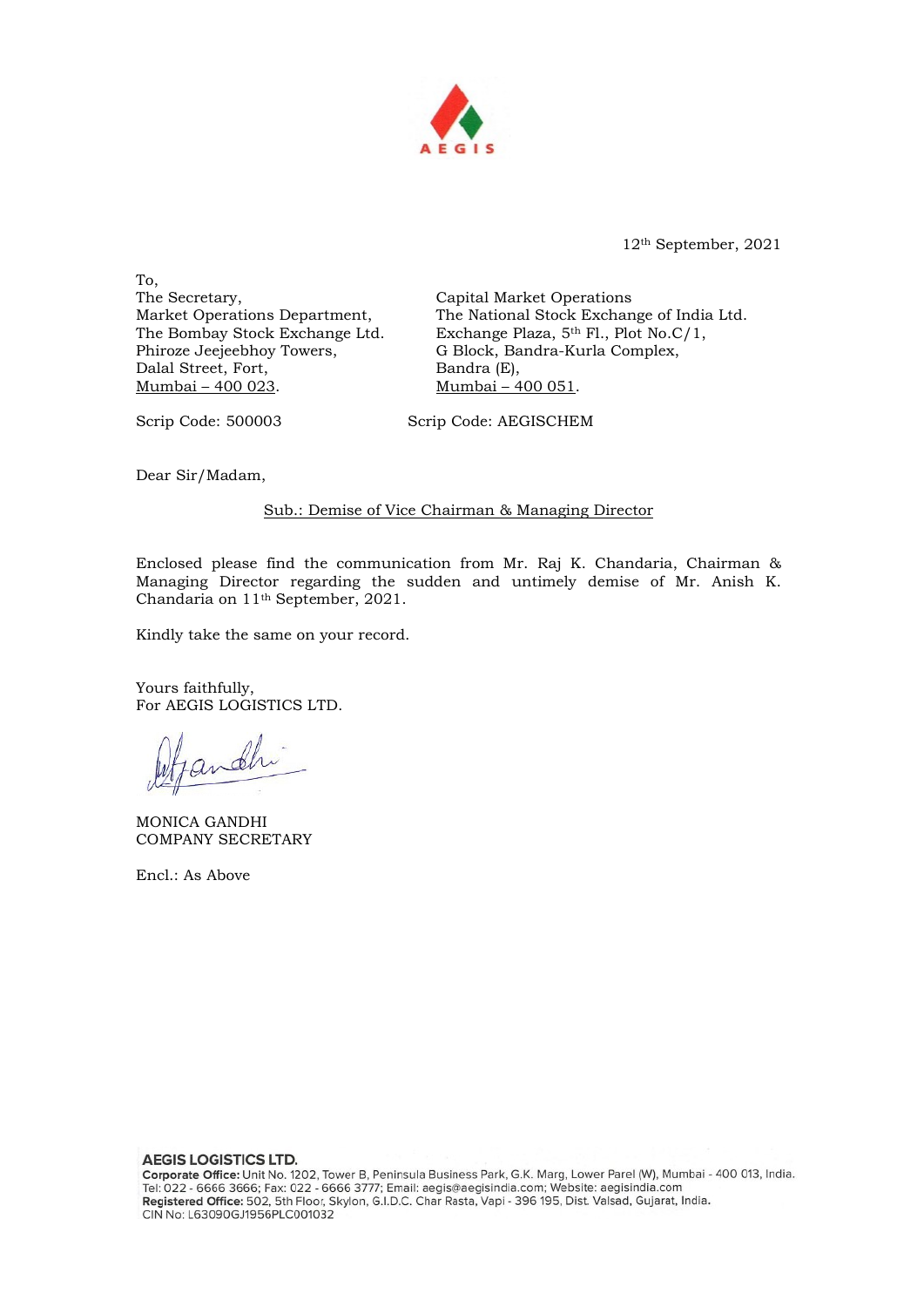

12th September, 2021

To, The Secretary, Market Operations Department, The Bombay Stock Exchange Ltd. Phiroze Jeejeebhoy Towers, Dalal Street, Fort, Mumbai – 400 023.

Capital Market Operations The National Stock Exchange of India Ltd. Exchange Plaza, 5th Fl., Plot No.C/1, G Block, Bandra-Kurla Complex, Bandra (E), Mumbai – 400 051.

Scrip Code: 500003 Scrip Code: AEGISCHEM

Dear Sir/Madam,

Sub.: Demise of Vice Chairman & Managing Director

Enclosed please find the communication from Mr. Raj K. Chandaria, Chairman & Managing Director regarding the sudden and untimely demise of Mr. Anish K. Chandaria on 11th September, 2021.

Kindly take the same on your record.

Yours faithfully, For AEGIS LOGISTICS LTD.

Dfandhi

MONICA GANDHI COMPANY SECRETARY

Encl.: As Above